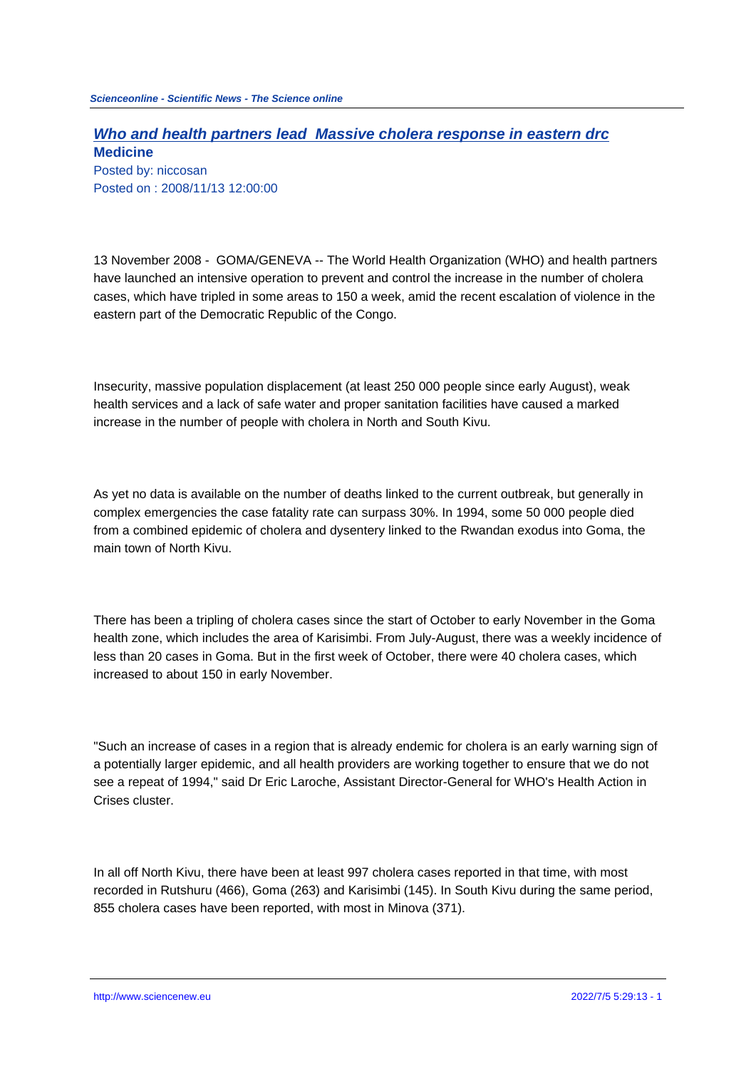## **Who and health partners lead Massive cholera response in eastern drc Medicine**

Posted by: niccosan Posted on : 2008/11/13 12:00:00

13 November 2008 - GOMA/GENEVA -- The World Health Organization (WHO) and health partners have launched an intensive operation to prevent and control the increase in the number of cholera cases, which have tripled in some areas to 150 a week, amid the recent escalation of violence in the eastern part of the Democratic Republic of the Congo.

Insecurity, massive population displacement (at least 250 000 people since early August), weak health services and a lack of safe water and proper sanitation facilities have caused a marked increase in the number of people with cholera in North and South Kivu.

As yet no data is available on the number of deaths linked to the current outbreak, but generally in complex emergencies the case fatality rate can surpass 30%. In 1994, some 50 000 people died from a combined epidemic of cholera and dysentery linked to the Rwandan exodus into Goma, the main town of North Kivu.

There has been a tripling of cholera cases since the start of October to early November in the Goma health zone, which includes the area of Karisimbi. From July-August, there was a weekly incidence of less than 20 cases in Goma. But in the first week of October, there were 40 cholera cases, which increased to about 150 in early November.

"Such an increase of cases in a region that is already endemic for cholera is an early warning sign of a potentially larger epidemic, and all health providers are working together to ensure that we do not see a repeat of 1994," said Dr Eric Laroche, Assistant Director-General for WHO's Health Action in Crises cluster.

In all off North Kivu, there have been at least 997 cholera cases reported in that time, with most recorded in Rutshuru (466), Goma (263) and Karisimbi (145). In South Kivu during the same period, 855 cholera cases have been reported, with most in Minova (371).